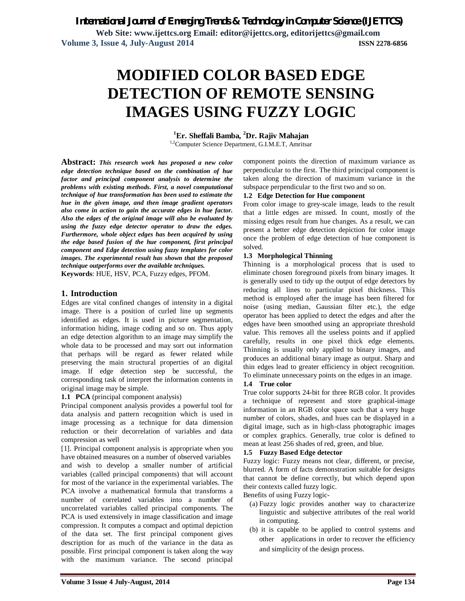**Web Site: www.ijettcs.org Email: editor@ijettcs.org, editorijettcs@gmail.com Volume 3, Issue 4, July-August 2014 ISSN 2278-6856**

# **MODIFIED COLOR BASED EDGE DETECTION OF REMOTE SENSING IMAGES USING FUZZY LOGIC**

**<sup>1</sup>Er. Sheffali Bamba, <sup>2</sup>Dr. Rajiv Mahajan**

<sup>1,2</sup>Computer Science Department, G.I.M.E.T, Amritsar

**Abstract:** *This research work has proposed a new color edge detection technique based on the combination of hue factor and principal component analysis to determine the problems with existing methods. First, a novel computational technique of hue transformation has been used to estimate the hue in the given image, and then image gradient operators also come in action to gain the accurate edges in hue factor. Also the edges of the original image will also be evaluated by using the fuzzy edge detector operator to draw the edges. Furthermore, whole object edges has been acquired by using the edge based fusion of the hue component, first principal component and Edge detection using fuzzy templates for color images. The experimental result has shown that the proposed technique outperforms over the available techniques.* **Keywords**: HUE, HSV, PCA, Fuzzy edges, PFOM.

## **1. Introduction**

Edges are vital confined changes of intensity in a digital image. There is a position of curled line up segments identified as edges. It is used in picture segmentation, information hiding, image coding and so on. Thus apply an edge detection algorithm to an image may simplify the whole data to be processed and may sort out information that perhaps will be regard as fewer related while preserving the main structural properties of an digital image. If edge detection step be successful, the corresponding task of interpret the information contents in original image may be simple.

**1.1 PCA** (principal component analysis)

Principal component analysis provides a powerful tool for data analysis and pattern recognition which is used in image processing as a technique for data dimension reduction or their decorrelation of variables and data compression as well

[1]. Principal component analysis is appropriate when you have obtained measures on a number of observed variables and wish to develop a smaller number of artificial variables (called principal components) that will account for most of the variance in the experimental variables. The PCA involve a mathematical formula that transforms a number of correlated variables into a number of uncorrelated variables called principal components. The PCA is used extensively in image classification and image compression. It computes a compact and optimal depiction of the data set. The first principal component gives description for as much of the variance in the data as possible. First principal component is taken along the way with the maximum variance. The second principal

component points the direction of maximum variance as perpendicular to the first. The third principal component is taken along the direction of maximum variance in the subspace perpendicular to the first two and so on.

#### **1.2 Edge Detection for Hue component**

From color image to grey-scale image, leads to the result that a little edges are missed. In count, mostly of the missing edges result from hue changes. As a result, we can present a better edge detection depiction for color image once the problem of edge detection of hue component is solved.

## **1.3 Morphological Thinning**

Thinning is a morphological process that is used to eliminate chosen foreground pixels from binary images. It is generally used to tidy up the output of edge detectors by reducing all lines to particular pixel thickness. This method is employed after the image has been filtered for noise (using median, Gaussian filter etc.), the edge operator has been applied to detect the edges and after the edges have been smoothed using an appropriate threshold value. This removes all the useless points and if applied carefully, results in one pixel thick edge elements. Thinning is usually only applied to binary images, and produces an additional binary image as output. Sharp and thin edges lead to greater efficiency in object recognition. To eliminate unnecessary points on the edges in an image.

## **1.4 True color**

True color supports 24-bit for three RGB color. It provides a technique of represent and store graphical-image information in an RGB color space such that a very huge number of colors, shades, and hues can be displayed in a digital image, such as in high-class photographic images or complex graphics. Generally, true color is defined to mean at least 256 shades of red, green, and blue.

## **1.5 Fuzzy Based Edge detector**

Fuzzy logic: Fuzzy means not clear, different, or precise, blurred. A form of facts demonstration suitable for designs that cannot be define correctly, but which depend upon their contexts called fuzzy logic.

- Benefits of using Fuzzy logic-
	- (a) Fuzzy logic provides another way to characterize linguistic and subjective attributes of the real world in computing.
	- (b) it is capable to be applied to control systems and other applications in order to recover the efficiency and simplicity of the design process.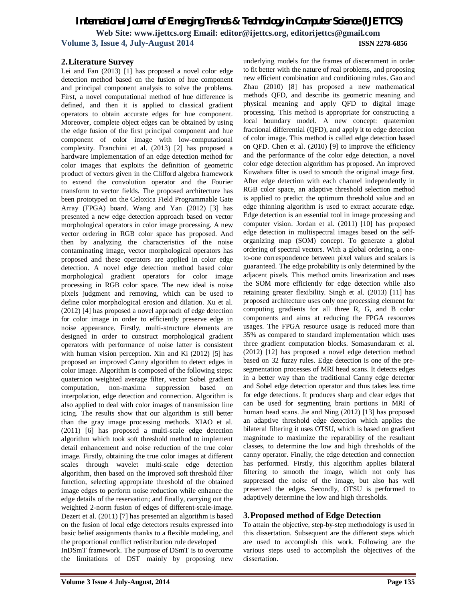## *International Journal of Emerging Trends & Technology in Computer Science (IJETTCS)* **Web Site: www.ijettcs.org Email: editor@ijettcs.org, editorijettcs@gmail.com Volume 3, Issue 4, July-August 2014 ISSN 2278-6856**

## **2.Literature Survey**

Lei and Fan (2013) [1] has proposed a novel color edge detection method based on the fusion of hue component and principal component analysis to solve the problems. First, a novel computational method of hue difference is defined, and then it is applied to classical gradient operators to obtain accurate edges for hue component. Moreover, complete object edges can be obtained by using the edge fusion of the first principal component and hue component of color image with low-computational complexity. Franchini et al. (2013) [2] has proposed a hardware implementation of an edge detection method for color images that exploits the definition of geometric product of vectors given in the Clifford algebra framework to extend the convolution operator and the Fourier transform to vector fields. The proposed architecture has been prototyped on the Celoxica Field Programmable Gate Array (FPGA) board. Wang and Yan (2012) [3] has presented a new edge detection approach based on vector morphological operators in color image processing. A new vector ordering in RGB color space has proposed. And then by analyzing the characteristics of the noise contaminating image, vector morphological operators has proposed and these operators are applied in color edge detection. A novel edge detection method based color morphological gradient operators for color image processing in RGB color space. The new ideal is noise pixels judgment and removing, which can be used to define color morphological erosion and dilation. Xu et al. (2012) [4] has proposed a novel approach of edge detection for color image in order to efficiently preserve edge in noise appearance. Firstly, multi-structure elements are designed in order to construct morphological gradient operators with performance of noise latter is consistent with human vision perception. Xin and Ki (2012) [5] has proposed an improved Canny algorithm to detect edges in color image. Algorithm is composed of the following steps: quaternion weighted average filter, vector Sobel gradient computation, non-maxima suppression based on interpolation, edge detection and connection. Algorithm is also applied to deal with color images of transmission line icing. The results show that our algorithm is still better than the gray image processing methods. XIAO et al. (2011) [6] has proposed a multi-scale edge detection algorithm which took soft threshold method to implement detail enhancement and noise reduction of the true color image. Firstly, obtaining the true color images at different scales through wavelet multi-scale edge detection algorithm, then based on the improved soft threshold filter function, selecting appropriate threshold of the obtained image edges to perform noise reduction while enhance the edge details of the reservation; and finally, carrying out the weighted 2-norm fusion of edges of different-scale-image. Dezert et al. (2011) [7] has presented an algorithm is based on the fusion of local edge detectors results expressed into basic belief assignments thanks to a flexible modeling, and the proportional conflict redistribution rule developed InDSmT framework. The purpose of DSmT is to overcome the limitations of DST mainly by proposing new

underlying models for the frames of discernment in order to fit better with the nature of real problems, and proposing new efficient combination and conditioning rules. Gao and Zhau (2010) [8] has proposed a new mathematical methods QFD, and describe its geometric meaning and physical meaning and apply QFD to digital image processing. This method is appropriate for constructing a local boundary model. A new concept: quaternion fractional differential (QFD), and apply it to edge detection of color image. This method is called edge detection based on QFD. Chen et al. (2010) [9] to improve the efficiency and the performance of the color edge detection, a novel color edge detection algorithm has proposed. An improved Kuwahara filter is used to smooth the original image first. After edge detection with each channel independently in RGB color space, an adaptive threshold selection method is applied to predict the optimum threshold value and an edge thinning algorithm is used to extract accurate edge. Edge detection is an essential tool in image processing and computer vision. Jordan et al. (2011) [10] has proposed edge detection in multispectral images based on the selforganizing map (SOM) concept. To generate a global ordering of spectral vectors. With a global ordering, a oneto-one correspondence between pixel values and scalars is guaranteed. The edge probability is only determined by the adjacent pixels. This method omits linearization and uses the SOM more efficiently for edge detection while also retaining greater flexibility. Singh et al. (2013) [11] has proposed architecture uses only one processing element for computing gradients for all three R, G, and B color components and aims at reducing the FPGA resources usages. The FPGA resource usage is reduced more than 35% as compared to standard implementation which uses three gradient computation blocks. Somasundaram et al. (2012) [12] has proposed a novel edge detection method based on 32 fuzzy rules. Edge detection is one of the presegmentation processes of MRI head scans. It detects edges in a better way than the traditional Canny edge detector and Sobel edge detection operator and thus takes less time for edge detections. It produces sharp and clear edges that can be used for segmenting brain portions in MRI of human head scans. Jie and Ning (2012) [13] has proposed an adaptive threshold edge detection which applies the bilateral filtering it uses OTSU, which is based on gradient magnitude to maximize the reparability of the resultant classes, to determine the low and high thresholds of the canny operator. Finally, the edge detection and connection has performed. Firstly, this algorithm applies bilateral filtering to smooth the image, which not only has suppressed the noise of the image, but also has well preserved the edges. Secondly, OTSU is performed to adaptively determine the low and high thresholds.

## **3.Proposed method of Edge Detection**

To attain the objective, step-by-step methodology is used in this dissertation. Subsequent are the different steps which are used to accomplish this work. Following are the various steps used to accomplish the objectives of the dissertation.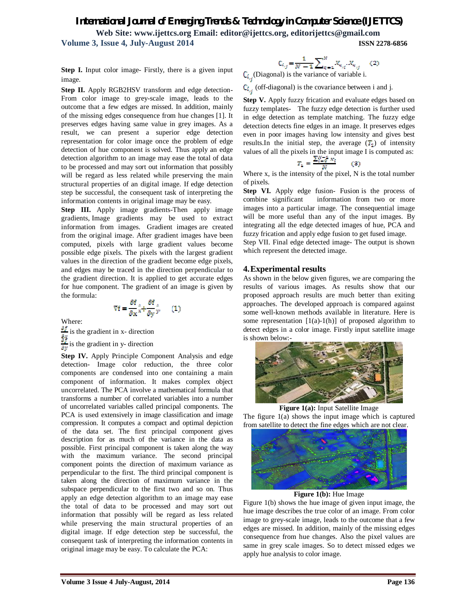## *International Journal of Emerging Trends & Technology in Computer Science (IJETTCS)*

**Web Site: www.ijettcs.org Email: editor@ijettcs.org, editorijettcs@gmail.com Volume 3, Issue 4, July-August 2014 ISSN 2278-6856**

**Step I.** Input color image- Firstly, there is a given input image.

**Step II.** Apply RGB2HSV transform and edge detection-From color image to grey-scale image, leads to the outcome that a few edges are missed. In addition, mainly of the missing edges consequence from hue changes [1]. It preserves edges having same value in grey images. As a result, we can present a superior edge detection representation for color image once the problem of edge detection of hue component is solved. Thus apply an edge detection algorithm to an image may ease the total of data to be processed and may sort out information that possibly will be regard as less related while preserving the main structural properties of an digital image. If edge detection step be successful, the consequent task of interpreting the information contents in original image may be easy.

**Step III.** Apply image gradients-Then apply image gradients, Image gradients may be used to extract information from images. Gradient images are created from the original image. After gradient images have been computed, pixels with large gradient values become possible edge pixels. The pixels with the largest gradient values in the direction of the gradient become edge pixels, and edges may be traced in the direction perpendicular to the gradient direction. It is applied to get accurate edges for hue component. The gradient of an image is given by the formula:

$$
\nabla f = \frac{\partial f}{\partial x} \hat{x} + \frac{\partial f}{\partial y} \hat{y}.
$$
 (1)

Where:

 $\frac{\partial f}{\partial x}$  is the gradient in x- direction  $\frac{g_x}{g_y}$  is the gradient in y- direction

**Step IV.** Apply Principle Component Analysis and edge detection- Image color reduction, the three color components are condensed into one containing a main component of information. It makes complex object uncorrelated. The PCA involve a mathematical formula that transforms a number of correlated variables into a number of uncorrelated variables called principal components. The PCA is used extensively in image classification and image compression. It computes a compact and optimal depiction of the data set. The first principal component gives description for as much of the variance in the data as possible. First principal component is taken along the way with the maximum variance. The second principal component points the direction of maximum variance as perpendicular to the first. The third principal component is taken along the direction of maximum variance in the subspace perpendicular to the first two and so on. Thus apply an edge detection algorithm to an image may ease the total of data to be processed and may sort out information that possibly will be regard as less related while preserving the main structural properties of an digital image. If edge detection step be successful, the consequent task of interpreting the information contents in original image may be easy. To calculate the PCA:

$$
C_{i_{rj}} = \frac{1}{N-1} \sum\nolimits_{q=1}^{N} X_{q_{rj}} X_{q_{rj}} \quad (2)
$$

 $C_{i_{r}}$ (Diagonal) is the variance of variable i.

 $C_{i_{r,i}}$  (off-diagonal) is the covariance between i and j.

**Step V.** Apply fuzzy frication and evaluate edges based on fuzzy templates- The fuzzy edge detection is further used in edge detection as template matching. The fuzzy edge detection detects fine edges in an image. It preserves edges even in poor images having low intensity and gives best results. In the initial step, the average  $(T_1)$  of intensity values of all the pixels in the input image I is computed as:

$$
T_2 = \frac{\sum_{i=0}^{N-2} x_i}{N} \qquad (3)
$$

Where x, is the intensity of the pixel, N is the total number of pixels.

**Step VI.** Apply edge fusion- Fusion is the process of combine significant information from two or more images into a particular image. The consequential image will be more useful than any of the input images. By integrating all the edge detected images of hue, PCA and fuzzy frication and apply edge fusion to get fused image.

Step VII. Final edge detected image- The output is shown which represent the detected image.

## **4.Experimental results**

As shown in the below given figures, we are comparing the results of various images. As results show that our proposed approach results are much better than exiting approaches. The developed approach is compared against some well-known methods available in literature. Here is some representation  $[1(a)-1(h)]$  of proposed algorithm to detect edges in a color image. Firstly input satellite image is shown below:-



**Figure 1(a):** Input Satellite Image

The figure 1(a) shows the input image which is captured from satellite to detect the fine edges which are not clear.



**Figure 1(b):** Hue Image

Figure 1(b) shows the hue image of given input image, the hue image describes the true color of an image. From color image to grey-scale image, leads to the outcome that a few edges are missed. In addition, mainly of the missing edges consequence from hue changes. Also the pixel values are same in grey scale images. So to detect missed edges we apply hue analysis to color image.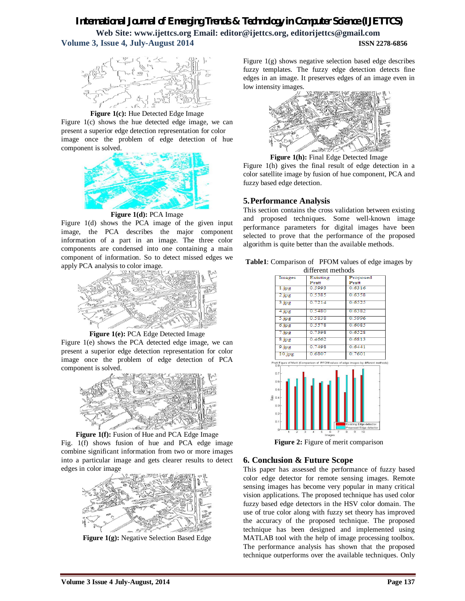# *International Journal of Emerging Trends & Technology in Computer Science (IJETTCS)*

**Web Site: www.ijettcs.org Email: editor@ijettcs.org, editorijettcs@gmail.com Volume 3, Issue 4, July-August 2014 ISSN 2278-6856**



**Figure 1(c):** Hue Detected Edge Image

Figure 1(c) shows the hue detected edge image, we can present a superior edge detection representation for color image once the problem of edge detection of hue component is solved.



**Figure 1(d):** PCA Image

Figure 1(d) shows the PCA image of the given input image, the PCA describes the major component information of a part in an image. The three color components are condensed into one containing a main component of information. So to detect missed edges we apply PCA analysis to color image.



**Figure 1(e):** PCA Edge Detected Image

Figure 1(e) shows the PCA detected edge image, we can present a superior edge detection representation for color image once the problem of edge detection of PCA component is solved.



## **Figure 1(f):** Fusion of Hue and PCA Edge Image

Fig. 1(f) shows fusion of hue and PCA edge image combine significant information from two or more images into a particular image and gets clearer results to detect edges in color image



**Figure 1(g):** Negative Selection Based Edge

Figure 1(g) shows negative selection based edge describes fuzzy templates. The fuzzy edge detection detects fine edges in an image. It preserves edges of an image even in low intensity images.



**Figure 1(h):** Final Edge Detected Image

Figure 1(h) gives the final result of edge detection in a color satellite image by fusion of hue component, PCA and fuzzy based edge detection.

## **5.Performance Analysis**

This section contains the cross validation between existing and proposed techniques. Some well-known image performance parameters for digital images have been selected to prove that the performance of the proposed algorithm is quite better than the available methods.



|                                                           | different methods                                                                    |                                                  |
|-----------------------------------------------------------|--------------------------------------------------------------------------------------|--------------------------------------------------|
| Images                                                    | Existing                                                                             | Proposed                                         |
|                                                           | Pratt                                                                                | Pratt                                            |
| 1.jpg                                                     | 0.5993                                                                               | 0.6316                                           |
| 2.jpg                                                     | 0.5385                                                                               | 0.6358                                           |
| 3.jpg                                                     | 0.7214                                                                               | 0.6525                                           |
| 4.jpg                                                     | 0.5480                                                                               | 0.6382                                           |
| 5.jpg                                                     | 0.5838                                                                               | 0.5996                                           |
| 6.jpg                                                     | 0.5578                                                                               | 0.6085                                           |
| 7.jpg                                                     | 0.7398                                                                               | 0.6528                                           |
| $8$ . jpg                                                 | 0.4662                                                                               | 0.6813                                           |
| 9.jpg                                                     | 0.7498                                                                               | 0.6441                                           |
| 10.jpg                                                    | 0.6807                                                                               | 0.7601                                           |
| 0.8                                                       | Pratt Figure of Merit (Comparison of PFOM values of edge images by different methods |                                                  |
| 0.7                                                       |                                                                                      |                                                  |
|                                                           |                                                                                      |                                                  |
|                                                           |                                                                                      |                                                  |
|                                                           |                                                                                      |                                                  |
|                                                           |                                                                                      |                                                  |
|                                                           |                                                                                      |                                                  |
|                                                           |                                                                                      |                                                  |
|                                                           |                                                                                      |                                                  |
|                                                           |                                                                                      |                                                  |
| 0.6<br>0.5<br>$\frac{8}{5}$ 0.4<br>0.3<br>0.2<br>0.1<br>0 |                                                                                      | Existing Edge detector<br>Proposed Edge detector |

**Figure 2:** Figure of merit comparison

## **6. Conclusion & Future Scope**

This paper has assessed the performance of fuzzy based color edge detector for remote sensing images. Remote sensing images has become very popular in many critical vision applications. The proposed technique has used color fuzzy based edge detectors in the HSV color domain. The use of true color along with fuzzy set theory has improved the accuracy of the proposed technique. The proposed technique has been designed and implemented using MATLAB tool with the help of image processing toolbox. The performance analysis has shown that the proposed technique outperforms over the available techniques. Only